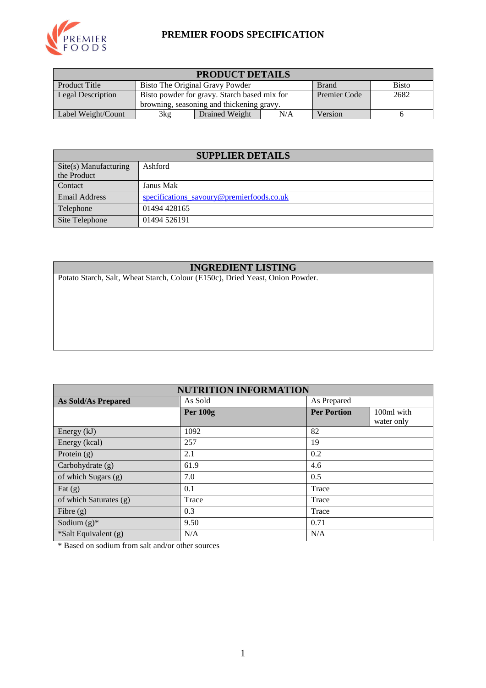

#### **PREMIER FOODS SPECIFICATION**

| <b>PRODUCT DETAILS</b> |                                                                 |                |     |              |      |
|------------------------|-----------------------------------------------------------------|----------------|-----|--------------|------|
| <b>Product Title</b>   | <b>Bisto</b><br>Bisto The Original Gravy Powder<br><b>Brand</b> |                |     |              |      |
| Legal Description      | Bisto powder for gravy. Starch based mix for                    |                |     | Premier Code | 2682 |
|                        | browning, seasoning and thickening gravy.                       |                |     |              |      |
| Label Weight/Count     | 3kg                                                             | Drained Weight | N/A | Version      |      |

| <b>SUPPLIER DETAILS</b>        |                                           |  |  |  |
|--------------------------------|-------------------------------------------|--|--|--|
| $\text{Site}(s)$ Manufacturing | Ashford                                   |  |  |  |
| the Product                    |                                           |  |  |  |
| Contact                        | Janus Mak                                 |  |  |  |
| <b>Email Address</b>           | specifications savoury@premierfoods.co.uk |  |  |  |
| Telephone                      | 01494 428165                              |  |  |  |
| Site Telephone                 | 01494 526191                              |  |  |  |

## **INGREDIENT LISTING**

Potato Starch, Salt, Wheat Starch, Colour (E150c), Dried Yeast, Onion Powder.

| <b>NUTRITION INFORMATION</b> |                 |                    |                          |  |  |
|------------------------------|-----------------|--------------------|--------------------------|--|--|
| <b>As Sold/As Prepared</b>   | As Sold         | As Prepared        |                          |  |  |
|                              | <b>Per 100g</b> | <b>Per Portion</b> | 100ml with<br>water only |  |  |
| Energy $(kJ)$                | 1092            | 82                 |                          |  |  |
| Energy (kcal)                | 257             | 19                 |                          |  |  |
| Protein $(g)$                | 2.1             | 0.2                |                          |  |  |
| Carbohydrate $(g)$           | 61.9            | 4.6                |                          |  |  |
| of which Sugars (g)          | 7.0             | 0.5                |                          |  |  |
| Fat $(g)$                    | 0.1             | Trace              |                          |  |  |
| of which Saturates (g)       | Trace           | Trace              |                          |  |  |
| Fibre $(g)$                  | 0.3             | Trace              |                          |  |  |
| Sodium $(g)^*$               | 9.50            | 0.71               |                          |  |  |
| *Salt Equivalent (g)         | N/A             | N/A                |                          |  |  |

\* Based on sodium from salt and/or other sources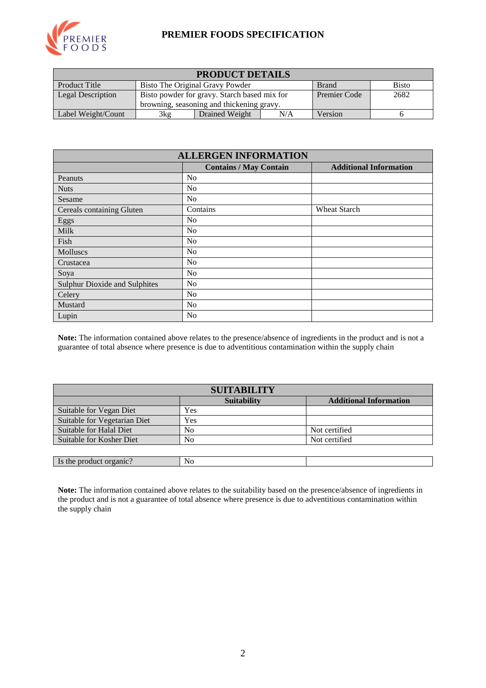

#### **PREMIER FOODS SPECIFICATION**

| <b>PRODUCT DETAILS</b>                                                                  |                                              |                |     |              |      |
|-----------------------------------------------------------------------------------------|----------------------------------------------|----------------|-----|--------------|------|
| <b>Product Title</b><br>Bisto The Original Gravy Powder<br><b>Bisto</b><br><b>Brand</b> |                                              |                |     |              |      |
| Legal Description                                                                       | Bisto powder for gravy. Starch based mix for |                |     | Premier Code | 2682 |
|                                                                                         | browning, seasoning and thickening gravy.    |                |     |              |      |
| Label Weight/Count                                                                      | 3kg                                          | Drained Weight | N/A | Version      |      |

| <b>ALLERGEN INFORMATION</b>          |                               |                               |  |  |  |
|--------------------------------------|-------------------------------|-------------------------------|--|--|--|
|                                      | <b>Contains / May Contain</b> | <b>Additional Information</b> |  |  |  |
| Peanuts                              | No                            |                               |  |  |  |
| <b>Nuts</b>                          | N <sub>0</sub>                |                               |  |  |  |
| Sesame                               | N <sub>0</sub>                |                               |  |  |  |
| Cereals containing Gluten            | Contains                      | <b>Wheat Starch</b>           |  |  |  |
| Eggs                                 | N <sub>0</sub>                |                               |  |  |  |
| Milk                                 | No                            |                               |  |  |  |
| Fish                                 | N <sub>o</sub>                |                               |  |  |  |
| Molluscs                             | N <sub>0</sub>                |                               |  |  |  |
| Crustacea                            | No                            |                               |  |  |  |
| Soya                                 | N <sub>0</sub>                |                               |  |  |  |
| <b>Sulphur Dioxide and Sulphites</b> | No                            |                               |  |  |  |
| Celery                               | No                            |                               |  |  |  |
| Mustard                              | No                            |                               |  |  |  |
| Lupin                                | No                            |                               |  |  |  |

**Note:** The information contained above relates to the presence/absence of ingredients in the product and is not a guarantee of total absence where presence is due to adventitious contamination within the supply chain

| <b>SUITABILITY</b>           |                    |                               |  |  |  |  |
|------------------------------|--------------------|-------------------------------|--|--|--|--|
|                              | <b>Suitability</b> | <b>Additional Information</b> |  |  |  |  |
| Suitable for Vegan Diet      | Yes                |                               |  |  |  |  |
| Suitable for Vegetarian Diet | Yes                |                               |  |  |  |  |
| Suitable for Halal Diet      | No                 | Not certified                 |  |  |  |  |
| Suitable for Kosher Diet     | No                 | Not certified                 |  |  |  |  |
|                              |                    |                               |  |  |  |  |
| Is the product organic?      | No                 |                               |  |  |  |  |

**Note:** The information contained above relates to the suitability based on the presence/absence of ingredients in the product and is not a guarantee of total absence where presence is due to adventitious contamination within the supply chain